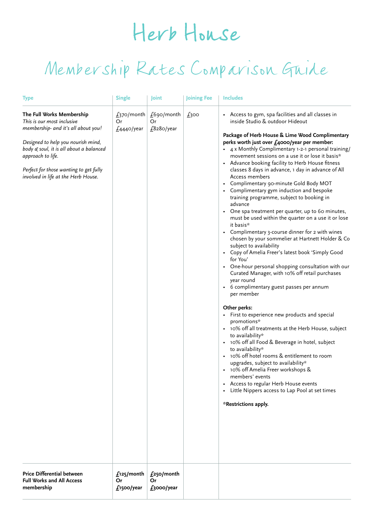## Herb House

## Membership Rates Comparison Guide

| <b>Type</b>                                                                                                                                                                                                                                                                           | <b>Single</b>                                  | Joint                                  | Joining Fee | <b>Includes</b>                                                                                                                                                                                                                                                                                                                                                                                                                                                                                                                                                                                                                                                                                                                                                                                                                                                                                                                                                                                                                                                                                                                                                                                                                                                                                                                                                                                                                                                                                                                                                                                         |
|---------------------------------------------------------------------------------------------------------------------------------------------------------------------------------------------------------------------------------------------------------------------------------------|------------------------------------------------|----------------------------------------|-------------|---------------------------------------------------------------------------------------------------------------------------------------------------------------------------------------------------------------------------------------------------------------------------------------------------------------------------------------------------------------------------------------------------------------------------------------------------------------------------------------------------------------------------------------------------------------------------------------------------------------------------------------------------------------------------------------------------------------------------------------------------------------------------------------------------------------------------------------------------------------------------------------------------------------------------------------------------------------------------------------------------------------------------------------------------------------------------------------------------------------------------------------------------------------------------------------------------------------------------------------------------------------------------------------------------------------------------------------------------------------------------------------------------------------------------------------------------------------------------------------------------------------------------------------------------------------------------------------------------------|
| The Full Works Membership<br>This is our most inclusive<br>membership- and it's all about you!<br>Designed to help you nourish mind,<br>body & soul, it is all about a balanced<br>approach to life.<br>Perfect for those wanting to get fully<br>involved in life at the Herb House. | f <sub>370</sub> /month<br>Or<br>$£4440$ /year | $£690/m$ onth<br>Or<br>$£8$ 280/year   | f300        | Access to gym, spa facilities and all classes in<br>inside Studio & outdoor Hideout<br>Package of Herb House & Lime Wood Complimentary<br>perks worth just over £4000/year per member:<br>• 4 x Monthly Complimentary 1-2-1 personal training/<br>movement sessions on a use it or lose it basis*<br>Advance booking facility to Herb House fitness<br>$\bullet$<br>classes 8 days in advance, 1 day in advance of All<br>Access members<br>Complimentary 90-minute Gold Body MOT<br>Complimentary gym induction and bespoke<br>training programme, subject to booking in<br>advance<br>One spa treatment per quarter, up to 60 minutes,<br>must be used within the quarter on a use it or lose<br>it basis*<br>• Complimentary 3-course dinner for 2 with wines<br>chosen by your sommelier at Hartnett Holder & Co<br>subject to availability<br>Copy of Amelia Freer's latest book 'Simply Good<br>for You'<br>• One-hour personal shopping consultation with our<br>Curated Manager, with 10% off retail purchases<br>year round<br>• 6 complimentary guest passes per annum<br>per member<br>Other perks:<br>First to experience new products and special<br>$\bullet$<br>promotions*<br>10% off all treatments at the Herb House, subject<br>to availability*<br>10% off all Food & Beverage in hotel, subject<br>to availability*<br>• 10% off hotel rooms & entitlement to room<br>upgrades, subject to availability*<br>• 10% off Amelia Freer workshops &<br>members' events<br>Access to regular Herb House events<br>Little Nippers access to Lap Pool at set times<br>*Restrictions apply. |
| Price Differential between<br><b>Full Works and All Access</b><br>membership                                                                                                                                                                                                          | $f_1$ 25/month<br>Or<br>$f$ 1500/year          | $f_2$ 50/month<br>Or<br>$f_3$ ooo/year |             |                                                                                                                                                                                                                                                                                                                                                                                                                                                                                                                                                                                                                                                                                                                                                                                                                                                                                                                                                                                                                                                                                                                                                                                                                                                                                                                                                                                                                                                                                                                                                                                                         |